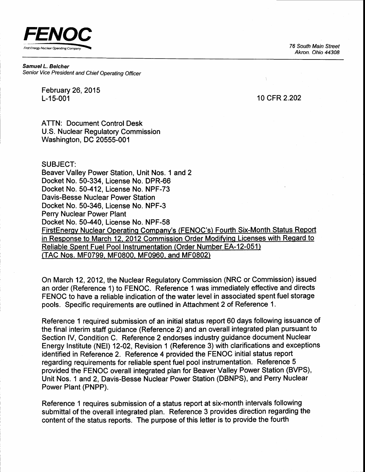FENOC  $\frac{1}{\sqrt{100}}$  The Expansion Company and Company and Company and Company and Company and Company and  $\overline{100}$  South Main Street

Akron. Ohio 44308

Samuel L. Belcher Senior Vice President and Chief Operating Officer

> February 26,2015 L-15-001

10 cFR 2.202

ATTN: Document Control Desk U.S. Nuclear Regulatory Commission Washington, DC 20555-001

#### SUBJECT:

Beaver Valley Power Station, Unit Nos. 1 and 2 Docket No. 50-334, License No. DPR-66 Docket No. 50-412, License No. NPF-73 Davis-Besse Nuclear Power Station Docket No. 50-346, License No. NPF-3 Perry Nuclear Power Plant Docket No. 50-440, License No. NPF-58 FirstEnergy Nuclear Operating Company's (FENOC's) Fourth Six-Month Status Report in Response to March 12, 2012 Commission Order Modifying Licenses with Regard to Reliable Spent Fuel Pool Instrumentation (Order Number EA-12-051) (TAC Nos. MF0799, MF0800. MF0960. and MF0802)

On March 12,2012, the Nuclear Regulatory Commission (NRC or Commission) issued an order (Reference 1) to FENOC. Reference 1 was immediately effective and directs FENOC to have a reliable indication of the water level in associated spent fuel storage pools. Specific requirements are outlined in Attachment 2 of Reference 1.

Reference 1 required submission of an initial status report 60 days following issuance of the final interim staff guidance (Reference 2) and an overall integrated plan pursuant to Section IV, Condition C. Reference 2 endorses industry guidance document Nuclear Energy lnstitute (NEI) 12-02, Revision 1 (Reference 3) with clarifications and exceptions identified in Reference 2. Reference 4 provided the FENOC initial status report regarding requirements for reliable spent fuel pool instrumentation. Reference 5 provided the FENOC overall integrated plan for Beaver Valley Power Station (BVPS), Unit Nos. 1 and 2, Davis-Besse Nuclear Power Station (DBNPS), and Perry Nuclear Power Plant (PNPP).

Reference 1 requires submission of a status report at six-month intervals following submittal of the overall integrated plan. Reference 3 provides direction regarding the content of the status reports. The purpose of this letter is to provide the fourth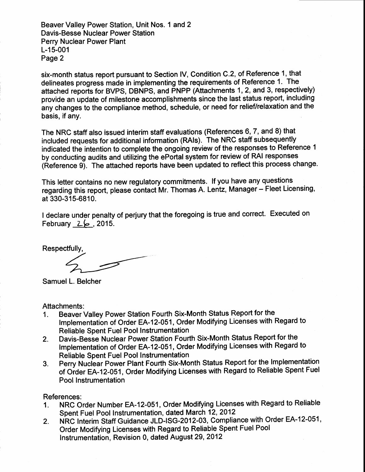Beaver Valley Power Station, Unit Nos. 1 and 2 Davis-Besse Nuclear Power Station Perry Nuclear Power Plant L-15-001 Page 2

six-month status report pursuant to Section lV, Condition C.2, of Reference 1, that delineates progress made in implementing the requirements of Reference 1. The attached reports for BVPS, DBNPS, and PNPP (Attachments 1, 2, and 3, respectively) provide an update of milestone accomplishments since the last status report, including any changes to the compliance method, schedule, or need for relief/relaxation and the basis, if any.

The NRC staff also issued interim staff evaluations (References 6,7, and 8) that included requests for additional information (RAls). The NRC staff subsequently indicated the intention to complete the ongoing review of the responses to Reference 1 by conducting audits and utilizing the ePortal system for review of RAI responses (Reference 9). The attached reports have been updated to reflect this process change.

This letter contains no new regulatory commitments. If you have any questions regarding this report, please contact Mr. Thomas A. Lentz, Manager - Fleet Licensing, at 330-315-6810.

I declare under penalty of perjury that the foregoing is true and correct. Executed on February  $26$ , 2015.

Respectfully,

Samuel L. Belcher

Attachments:

- 1. Beaver Valley Power Station Fourth Six-Month Status Report for the lmplementation of Order EA-12-051, Order Modifying Licenses with Regard to Reliable Spent Fuel Pool Instrumentation
- Z. Davis-Besse Nuclear Power Station Fourth Six-Month Status Report for the Implementation of Order EA-12-051, Order Modifying Licenses with Regard to Reliable Spent Fuel Pool Instrumentation
- 3. Perry Nuclear Power Plant Fourth Six-Month Status Report for the lmplementation of Order EA-12-051, Order Modifying Licenses with Regard to Reliable Spent Fuel Pool Instrumentation

References:

- 1. NRC Order Number EA-12-051, Order Modifying Licenses with Regard to Reliable Spent Fuel Pool Instrumentation, dated March 12, 2012
- Z. NRC Interim Staff Guidance JLD-|SG-2012-03, Compliance with Order EA-12-051, Order Modifying Licenses with Regard to Reliable Spent Fuel Pool Instrumentation, Revision 0, dated August 29, 2012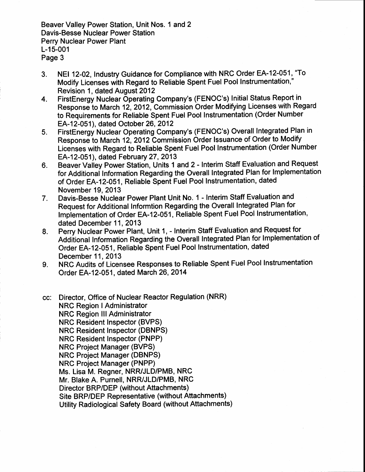Beaver Valley Power Station, Unit Nos. 1 and 2 Davis-Besse Nuclear Power Station Perry Nuclear Power Plant L-15-001 Page 3

- 3. NEI 12-02, Industry Guidance for Compliance with NRC Order EA-12-051, "To Modify Licenses with Regard to Reliable Spent Fuel Pool Instrumentation," Revision 1, dated August 2012
- 4. FirstEnergy Nuclear Operating Company's (FENOC's) Initial Status Report in Response to March 12, 2012, Commission Order Modifying Licenses with Regard to Requirements for Reliable Spent Fuel Pool Instrumentation (Order Number EA-12-051), dated October 26, 2012
- S. FirstEnergy Nuclear Operating Company's (FENOC's) Overall Integrated Plan in Response io March 12, 2012 Commission Order lssuance of Order to Modify Licenses with Regard to Reliable Spent Fuel Pool Instrumentation (Order Number EA-12-051), dated February 27 ,2013
- 6. Beaver Valley Power Station, Units 1 and 2 Interim Staff Evaluation and Request for Additionai Information Regarding the Overall Integrated Plan for lmplementation of Order EA-12-051, Reliable Spent Fuel Pool Instrumentation, dated November 19, 2013
- Davis-Besse Nuclear Power Plant Unit No. 1 Interim Staff Evaluation and Request for Additional Informtion Regarding the Overall Integrated Plan for Implementation of Order EA-12-051, Reliable Spent Fuel Pool Instrumentation, dated December 11, 2013 7.
- Perry Nuclear Power Plant, Unit 1, Interim Staff Evaluation and Request for Additional Information Regarding the Overall Integrated Plan for lmplementation of Order EA-12-051, Reliable Spent Fuel Pool Instrumentation, dated December 11, 2013 8.
- NRC Audits of Licensee Responses to Reliable Spent Fuel Pool Instrumentation Order EA-12-051, dated March 26,2014 9.

Director, Office of Nuclear Reactor Regulation (NRR) CC: **NRC Region I Administrator** NRC Region lll Administrator NRC Resident Inspector (BVPS) NRC Resident Inspector (DBNPS) NRC Resident Inspector (PNPP) NRC Project Manager (BVPS) NRC Project Manager (DBNPS) NRC Project Manager (PNPP) Ms. Lisa M. Regner, NRR/JLD/PMB, NRC Mr. Blake A. Purnell, NRR/JLD/PMB, NRC Director BRP/DEP (without Attachments) Site BRP/DEP Representative (without Attachments) Utility Radiological Safety Board (without Attachments)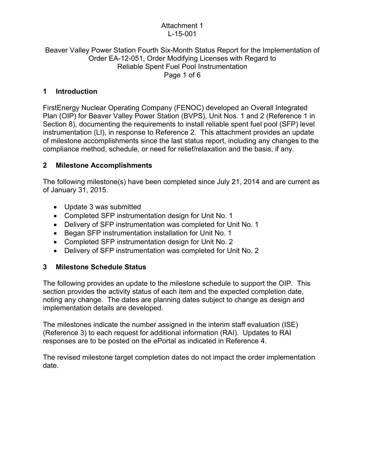#### Attachment 1 L-15-001

#### Beaver Valley Power Station Fourth Six-Month Status Report for the Implementation of Order EA-12-051, Order Modifying Licenses with Regard to Reliable Spent Fuel Pool Instrumentation Page 1 of 6

# **1 Introduction**

FirstEnergy Nuclear Operating Company (FENOC) developed an Overall Integrated Plan (OIP) for Beaver Valley Power Station (BVPS), Unit Nos. 1 and 2 (Reference 1 in Section 8), documenting the requirements to install reliable spent fuel pool (SFP) level instrumentation (LI), in response to Reference 2. This attachment provides an update of milestone accomplishments since the last status report, including any changes to the compliance method, schedule, or need for relief/relaxation and the basis, if any.

# **2 Milestone Accomplishments**

The following milestone(s) have been completed since July 21, 2014 and are current as of January 31, 2015.

- Update 3 was submitted
- Completed SFP instrumentation design for Unit No. 1
- Delivery of SFP instrumentation was completed for Unit No. 1
- Began SFP instrumentation installation for Unit No. 1
- Completed SFP instrumentation design for Unit No. 2
- Delivery of SFP instrumentation was completed for Unit No. 2

# **3 Milestone Schedule Status**

The following provides an update to the milestone schedule to support the OIP. This section provides the activity status of each item and the expected completion date, noting any change. The dates are planning dates subject to change as design and implementation details are developed.

The milestones indicate the number assigned in the interim staff evaluation (ISE) (Reference 3) to each request for additional information (RAI). Updates to RAI responses are to be posted on the ePortal as indicated in Reference 4.

The revised milestone target completion dates do not impact the order implementation date.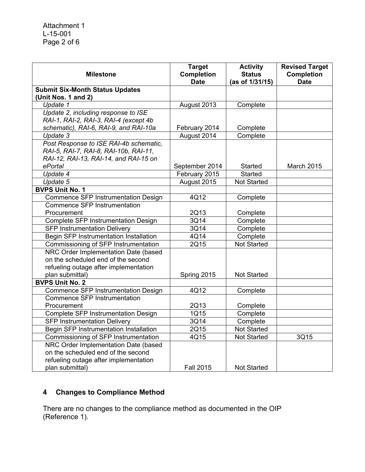| <b>Milestone</b>                       | <b>Target</b><br><b>Completion</b> | <b>Activity</b><br><b>Status</b> | <b>Revised Target</b><br><b>Completion</b> |
|----------------------------------------|------------------------------------|----------------------------------|--------------------------------------------|
|                                        | <b>Date</b>                        | (as of 1/31/15)                  | <b>Date</b>                                |
| <b>Submit Six-Month Status Updates</b> |                                    |                                  |                                            |
| (Unit Nos. 1 and 2)                    |                                    |                                  |                                            |
| Update 1                               | August 2013                        | Complete                         |                                            |
| Update 2, including response to ISE    |                                    |                                  |                                            |
| RAI-1, RAI-2, RAI-3, RAI-4 (except 4b  |                                    |                                  |                                            |
| schematic), RAI-6, RAI-9, and RAI-10a  | February 2014                      | Complete                         |                                            |
| Update 3                               | August 2014                        | Complete                         |                                            |
| Post Response to ISE RAI-4b schematic, |                                    |                                  |                                            |
| RAI-5, RAI-7, RAI-8, RAI-10b, RAI-11,  |                                    |                                  |                                            |
| RAI-12, RAI-13, RAI-14, and RAI-15 on  |                                    |                                  |                                            |
| ePortal                                | September 2014                     | <b>Started</b>                   | March 2015                                 |
| Update 4                               | February 2015                      | Started                          |                                            |
| Update 5                               | August 2015                        | <b>Not Started</b>               |                                            |
| <b>BVPS Unit No. 1</b>                 |                                    |                                  |                                            |
| Commence SFP Instrumentation Design    | 4Q12                               | Complete                         |                                            |
| <b>Commence SFP Instrumentation</b>    |                                    |                                  |                                            |
| Procurement                            | 2Q13                               | Complete                         |                                            |
| Complete SFP Instrumentation Design    | 3Q14                               | Complete                         |                                            |
| <b>SFP Instrumentation Delivery</b>    | 3Q14                               | Complete                         |                                            |
| Begin SFP Instrumentation Installation | 4Q14                               | Complete                         |                                            |
| Commissioning of SFP Instrumentation   | 2Q15                               | <b>Not Started</b>               |                                            |
| NRC Order Implementation Date (based   |                                    |                                  |                                            |
| on the scheduled end of the second     |                                    |                                  |                                            |
| refueling outage after implementation  |                                    |                                  |                                            |
| plan submittal)                        | Spring 2015                        | <b>Not Started</b>               |                                            |
| <b>BVPS Unit No. 2</b>                 |                                    |                                  |                                            |
| Commence SFP Instrumentation Design    | 4Q12                               | Complete                         |                                            |
| Commence SFP Instrumentation           |                                    |                                  |                                            |
| Procurement                            | 2Q13                               | Complete                         |                                            |
| Complete SFP Instrumentation Design    | 1Q15                               | Complete                         |                                            |
| <b>SFP Instrumentation Delivery</b>    | 3Q14                               | Complete                         |                                            |
| Begin SFP Instrumentation Installation | 2Q15                               | Not Started                      |                                            |
| Commissioning of SFP Instrumentation   | 4Q15                               | <b>Not Started</b>               | 3Q15                                       |
| NRC Order Implementation Date (based   |                                    |                                  |                                            |
| on the scheduled end of the second     |                                    |                                  |                                            |
| refueling outage after implementation  |                                    |                                  |                                            |
| plan submittal)                        | <b>Fall 2015</b>                   | Not Started                      |                                            |

# **4 Changes to Compliance Method**

There are no changes to the compliance method as documented in the OIP (Reference 1).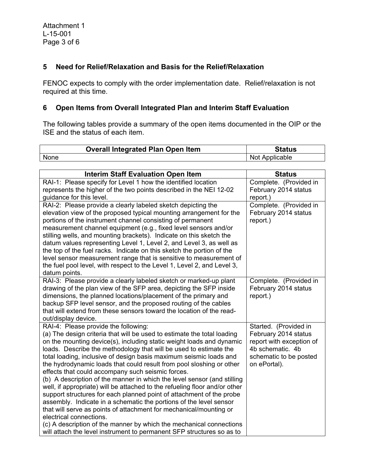#### **5 Need for Relief/Relaxation and Basis for the Relief/Relaxation**

FENOC expects to comply with the order implementation date. Relief/relaxation is not required at this time.

# **6 Open Items from Overall Integrated Plan and Interim Staff Evaluation**

The following tables provide a summary of the open items documented in the OIP or the ISE and the status of each item.

|      | <b>Overall Integrated Plan Open Item</b> | Status         |
|------|------------------------------------------|----------------|
| None |                                          | Not Applicable |

| <b>Interim Staff Evaluation Open Item</b>                                                                                                                                                                                                                                                                                                                                                                                                                                                                                                                                                                                                                                                                                                                                                                                                                                                                                                                                                                               | <b>Status</b>                                                                                                                           |
|-------------------------------------------------------------------------------------------------------------------------------------------------------------------------------------------------------------------------------------------------------------------------------------------------------------------------------------------------------------------------------------------------------------------------------------------------------------------------------------------------------------------------------------------------------------------------------------------------------------------------------------------------------------------------------------------------------------------------------------------------------------------------------------------------------------------------------------------------------------------------------------------------------------------------------------------------------------------------------------------------------------------------|-----------------------------------------------------------------------------------------------------------------------------------------|
| RAI-1: Please specify for Level 1 how the identified location                                                                                                                                                                                                                                                                                                                                                                                                                                                                                                                                                                                                                                                                                                                                                                                                                                                                                                                                                           | Complete. (Provided in                                                                                                                  |
| represents the higher of the two points described in the NEI 12-02<br>guidance for this level.                                                                                                                                                                                                                                                                                                                                                                                                                                                                                                                                                                                                                                                                                                                                                                                                                                                                                                                          | February 2014 status<br>report.)                                                                                                        |
| RAI-2: Please provide a clearly labeled sketch depicting the<br>elevation view of the proposed typical mounting arrangement for the<br>portions of the instrument channel consisting of permanent<br>measurement channel equipment (e.g., fixed level sensors and/or<br>stilling wells, and mounting brackets). Indicate on this sketch the<br>datum values representing Level 1, Level 2, and Level 3, as well as<br>the top of the fuel racks. Indicate on this sketch the portion of the<br>level sensor measurement range that is sensitive to measurement of<br>the fuel pool level, with respect to the Level 1, Level 2, and Level 3,<br>datum points.                                                                                                                                                                                                                                                                                                                                                           | Complete. (Provided in<br>February 2014 status<br>report.)                                                                              |
| RAI-3: Please provide a clearly labeled sketch or marked-up plant<br>drawing of the plan view of the SFP area, depicting the SFP inside<br>dimensions, the planned locations/placement of the primary and<br>backup SFP level sensor, and the proposed routing of the cables<br>that will extend from these sensors toward the location of the read-<br>out/display device.                                                                                                                                                                                                                                                                                                                                                                                                                                                                                                                                                                                                                                             | Complete. (Provided in<br>February 2014 status<br>report.)                                                                              |
| RAI-4: Please provide the following:<br>(a) The design criteria that will be used to estimate the total loading<br>on the mounting device(s), including static weight loads and dynamic<br>loads. Describe the methodology that will be used to estimate the<br>total loading, inclusive of design basis maximum seismic loads and<br>the hydrodynamic loads that could result from pool sloshing or other<br>effects that could accompany such seismic forces.<br>(b) A description of the manner in which the level sensor (and stilling<br>well, if appropriate) will be attached to the refueling floor and/or other<br>support structures for each planned point of attachment of the probe<br>assembly. Indicate in a schematic the portions of the level sensor<br>that will serve as points of attachment for mechanical/mounting or<br>electrical connections.<br>(c) A description of the manner by which the mechanical connections<br>will attach the level instrument to permanent SFP structures so as to | Started. (Provided in<br>February 2014 status<br>report with exception of<br>4b schematic. 4b<br>schematic to be posted<br>on ePortal). |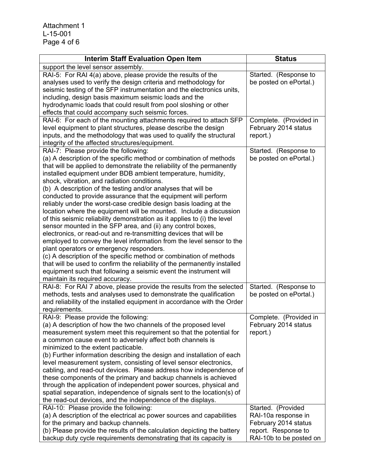Attachment 1 L-15-001 Page 4 of 6

| <b>Interim Staff Evaluation Open Item</b>                                                                                                                                                                                                                                                                                                                                                                                                                                                                                                                                                                                                                                                                                                                                                                                                                                                                                                                                                                                                                                                                                                                                          | <b>Status</b>                                                                                                       |
|------------------------------------------------------------------------------------------------------------------------------------------------------------------------------------------------------------------------------------------------------------------------------------------------------------------------------------------------------------------------------------------------------------------------------------------------------------------------------------------------------------------------------------------------------------------------------------------------------------------------------------------------------------------------------------------------------------------------------------------------------------------------------------------------------------------------------------------------------------------------------------------------------------------------------------------------------------------------------------------------------------------------------------------------------------------------------------------------------------------------------------------------------------------------------------|---------------------------------------------------------------------------------------------------------------------|
| support the level sensor assembly.                                                                                                                                                                                                                                                                                                                                                                                                                                                                                                                                                                                                                                                                                                                                                                                                                                                                                                                                                                                                                                                                                                                                                 |                                                                                                                     |
| RAI-5: For RAI 4(a) above, please provide the results of the<br>analyses used to verify the design criteria and methodology for<br>seismic testing of the SFP instrumentation and the electronics units,<br>including, design basis maximum seismic loads and the<br>hydrodynamic loads that could result from pool sloshing or other                                                                                                                                                                                                                                                                                                                                                                                                                                                                                                                                                                                                                                                                                                                                                                                                                                              | Started. (Response to<br>be posted on ePortal.)                                                                     |
| effects that could accompany such seismic forces.                                                                                                                                                                                                                                                                                                                                                                                                                                                                                                                                                                                                                                                                                                                                                                                                                                                                                                                                                                                                                                                                                                                                  |                                                                                                                     |
| RAI-6: For each of the mounting attachments required to attach SFP<br>level equipment to plant structures, please describe the design<br>inputs, and the methodology that was used to qualify the structural<br>integrity of the affected structures/equipment.                                                                                                                                                                                                                                                                                                                                                                                                                                                                                                                                                                                                                                                                                                                                                                                                                                                                                                                    | Complete. (Provided in<br>February 2014 status<br>report.)                                                          |
| RAI-7: Please provide the following:<br>(a) A description of the specific method or combination of methods<br>that will be applied to demonstrate the reliability of the permanently<br>installed equipment under BDB ambient temperature, humidity,<br>shock, vibration, and radiation conditions.<br>(b) A description of the testing and/or analyses that will be<br>conducted to provide assurance that the equipment will perform<br>reliably under the worst-case credible design basis loading at the<br>location where the equipment will be mounted. Include a discussion<br>of this seismic reliability demonstration as it applies to (i) the level<br>sensor mounted in the SFP area, and (ii) any control boxes,<br>electronics, or read-out and re-transmitting devices that will be<br>employed to convey the level information from the level sensor to the<br>plant operators or emergency responders.<br>(c) A description of the specific method or combination of methods<br>that will be used to confirm the reliability of the permanently installed<br>equipment such that following a seismic event the instrument will<br>maintain its required accuracy. | Started. (Response to<br>be posted on ePortal.)                                                                     |
| RAI-8: For RAI 7 above, please provide the results from the selected<br>methods, tests and analyses used to demonstrate the qualification<br>and reliability of the installed equipment in accordance with the Order<br>requirements.                                                                                                                                                                                                                                                                                                                                                                                                                                                                                                                                                                                                                                                                                                                                                                                                                                                                                                                                              | Started. (Response to<br>be posted on ePortal.)                                                                     |
| RAI-9: Please provide the following:<br>(a) A description of how the two channels of the proposed level<br>measurement system meet this requirement so that the potential for<br>a common cause event to adversely affect both channels is<br>minimized to the extent pacticable.<br>(b) Further information describing the design and installation of each<br>level measurement system, consisting of level sensor electronics,<br>cabling, and read-out devices. Please address how independence of<br>these components of the primary and backup channels is achieved<br>through the application of independent power sources, physical and<br>spatial separation, independence of signals sent to the location(s) of<br>the read-out devices, and the independence of the displays.                                                                                                                                                                                                                                                                                                                                                                                            | Complete. (Provided in<br>February 2014 status<br>report.)                                                          |
| RAI-10: Please provide the following:<br>(a) A description of the electrical ac power sources and capabilities<br>for the primary and backup channels.<br>(b) Please provide the results of the calculation depicting the battery<br>backup duty cycle requirements demonstrating that its capacity is                                                                                                                                                                                                                                                                                                                                                                                                                                                                                                                                                                                                                                                                                                                                                                                                                                                                             | Started. (Provided<br>RAI-10a response in<br>February 2014 status<br>report. Response to<br>RAI-10b to be posted on |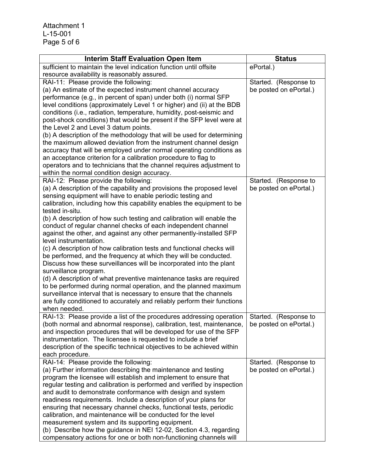Attachment 1 L-15-001 Page 5 of 6

| <b>Interim Staff Evaluation Open Item</b>                                                                                                  | <b>Status</b>          |
|--------------------------------------------------------------------------------------------------------------------------------------------|------------------------|
| sufficient to maintain the level indication function until offsite                                                                         | ePortal.)              |
| resource availability is reasonably assured.                                                                                               |                        |
| RAI-11: Please provide the following:                                                                                                      | Started. (Response to  |
| (a) An estimate of the expected instrument channel accuracy                                                                                | be posted on ePortal.) |
| performance (e.g., in percent of span) under both (i) normal SFP                                                                           |                        |
| level conditions (approximately Level 1 or higher) and (ii) at the BDB                                                                     |                        |
| conditions (i.e., radiation, temperature, humidity, post-seismic and                                                                       |                        |
| post-shock conditions) that would be present if the SFP level were at                                                                      |                        |
| the Level 2 and Level 3 datum points.                                                                                                      |                        |
| (b) A description of the methodology that will be used for determining<br>the maximum allowed deviation from the instrument channel design |                        |
| accuracy that will be employed under normal operating conditions as                                                                        |                        |
| an acceptance criterion for a calibration procedure to flag to                                                                             |                        |
| operators and to technicians that the channel requires adjustment to                                                                       |                        |
| within the normal condition design accuracy.                                                                                               |                        |
| RAI-12: Please provide the following:                                                                                                      | Started. (Response to  |
| (a) A description of the capability and provisions the proposed level                                                                      | be posted on ePortal.) |
| sensing equipment will have to enable periodic testing and                                                                                 |                        |
| calibration, including how this capability enables the equipment to be                                                                     |                        |
| tested in-situ.                                                                                                                            |                        |
| (b) A description of how such testing and calibration will enable the                                                                      |                        |
| conduct of regular channel checks of each independent channel                                                                              |                        |
| against the other, and against any other permanently-installed SFP                                                                         |                        |
| level instrumentation.                                                                                                                     |                        |
| (c) A description of how calibration tests and functional checks will                                                                      |                        |
| be performed, and the frequency at which they will be conducted.                                                                           |                        |
| Discuss how these surveillances will be incorporated into the plant                                                                        |                        |
| surveillance program.                                                                                                                      |                        |
| (d) A description of what preventive maintenance tasks are required<br>to be performed during normal operation, and the planned maximum    |                        |
| surveillance interval that is necessary to ensure that the channels                                                                        |                        |
| are fully conditioned to accurately and reliably perform their functions                                                                   |                        |
| when needed.                                                                                                                               |                        |
| RAI-13: Please provide a list of the procedures addressing operation                                                                       | Started. (Response to  |
| (both normal and abnormal response), calibration, test, maintenance,                                                                       | be posted on ePortal.) |
| and inspection procedures that will be developed for use of the SFP                                                                        |                        |
| instrumentation. The licensee is requested to include a brief                                                                              |                        |
| description of the specific technical objectives to be achieved within                                                                     |                        |
| each procedure.                                                                                                                            |                        |
| RAI-14: Please provide the following:                                                                                                      | Started. (Response to  |
| (a) Further information describing the maintenance and testing                                                                             | be posted on ePortal.) |
| program the licensee will establish and implement to ensure that                                                                           |                        |
| regular testing and calibration is performed and verified by inspection                                                                    |                        |
| and audit to demonstrate conformance with design and system                                                                                |                        |
| readiness requirements. Include a description of your plans for                                                                            |                        |
| ensuring that necessary channel checks, functional tests, periodic<br>calibration, and maintenance will be conducted for the level         |                        |
| measurement system and its supporting equipment.                                                                                           |                        |
| (b) Describe how the guidance in NEI 12-02, Section 4.3, regarding                                                                         |                        |
| compensatory actions for one or both non-functioning channels will                                                                         |                        |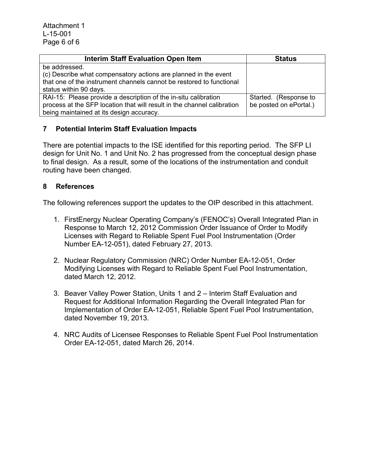| <b>Interim Staff Evaluation Open Item</b>                               | <b>Status</b>          |
|-------------------------------------------------------------------------|------------------------|
| be addressed.                                                           |                        |
| (c) Describe what compensatory actions are planned in the event         |                        |
| that one of the instrument channels cannot be restored to functional    |                        |
| status within 90 days.                                                  |                        |
| RAI-15: Please provide a description of the in-situ calibration         | Started. (Response to  |
| process at the SFP location that will result in the channel calibration | be posted on ePortal.) |
| being maintained at its design accuracy.                                |                        |

# **7 Potential Interim Staff Evaluation Impacts**

There are potential impacts to the ISE identified for this reporting period. The SFP LI design for Unit No. 1 and Unit No. 2 has progressed from the conceptual design phase to final design. As a result, some of the locations of the instrumentation and conduit routing have been changed.

# **8 References**

The following references support the updates to the OIP described in this attachment.

- 1. FirstEnergy Nuclear Operating Company's (FENOC's) Overall Integrated Plan in Response to March 12, 2012 Commission Order Issuance of Order to Modify Licenses with Regard to Reliable Spent Fuel Pool Instrumentation (Order Number EA-12-051), dated February 27, 2013.
- 2. Nuclear Regulatory Commission (NRC) Order Number EA-12-051, Order Modifying Licenses with Regard to Reliable Spent Fuel Pool Instrumentation, dated March 12, 2012.
- 3. Beaver Valley Power Station, Units 1 and 2 Interim Staff Evaluation and Request for Additional Information Regarding the Overall Integrated Plan for Implementation of Order EA-12-051, Reliable Spent Fuel Pool Instrumentation, dated November 19, 2013.
- 4. NRC Audits of Licensee Responses to Reliable Spent Fuel Pool Instrumentation Order EA-12-051, dated March 26, 2014.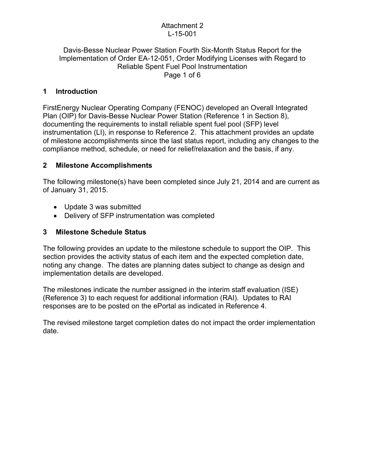#### Attachment 2 L-15-001

#### Davis-Besse Nuclear Power Station Fourth Six-Month Status Report for the Implementation of Order EA-12-051, Order Modifying Licenses with Regard to Reliable Spent Fuel Pool Instrumentation Page 1 of 6

# **1 Introduction**

FirstEnergy Nuclear Operating Company (FENOC) developed an Overall Integrated Plan (OIP) for Davis-Besse Nuclear Power Station (Reference 1 in Section 8), documenting the requirements to install reliable spent fuel pool (SFP) level instrumentation (LI), in response to Reference 2. This attachment provides an update of milestone accomplishments since the last status report, including any changes to the compliance method, schedule, or need for relief/relaxation and the basis, if any.

#### **2 Milestone Accomplishments**

The following milestone(s) have been completed since July 21, 2014 and are current as of January 31, 2015.

- Update 3 was submitted
- Delivery of SFP instrumentation was completed

#### **3 Milestone Schedule Status**

The following provides an update to the milestone schedule to support the OIP. This section provides the activity status of each item and the expected completion date, noting any change. The dates are planning dates subject to change as design and implementation details are developed.

The milestones indicate the number assigned in the interim staff evaluation (ISE) (Reference 3) to each request for additional information (RAI). Updates to RAI responses are to be posted on the ePortal as indicated in Reference 4.

The revised milestone target completion dates do not impact the order implementation date.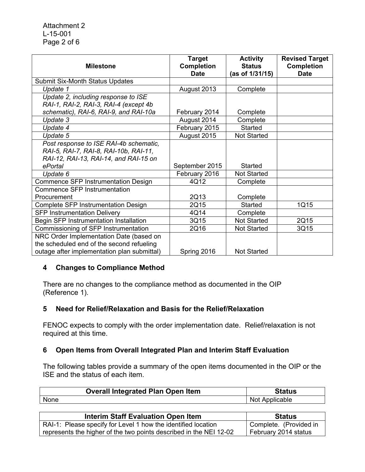| <b>Milestone</b>                            | <b>Target</b><br><b>Completion</b> | <b>Activity</b><br><b>Status</b> | <b>Revised Target</b><br><b>Completion</b> |
|---------------------------------------------|------------------------------------|----------------------------------|--------------------------------------------|
|                                             | <b>Date</b>                        | (as of 1/31/15)                  | <b>Date</b>                                |
| <b>Submit Six-Month Status Updates</b>      |                                    |                                  |                                            |
| Update 1                                    | August 2013                        | Complete                         |                                            |
| Update 2, including response to ISE         |                                    |                                  |                                            |
| RAI-1, RAI-2, RAI-3, RAI-4 (except 4b)      |                                    |                                  |                                            |
| schematic), RAI-6, RAI-9, and RAI-10a       | February 2014                      | Complete                         |                                            |
| Update 3                                    | August 2014                        | Complete                         |                                            |
| Update 4                                    | February 2015                      | Started                          |                                            |
| Update 5                                    | August 2015                        | <b>Not Started</b>               |                                            |
| Post response to ISE RAI-4b schematic,      |                                    |                                  |                                            |
| RAI-5, RAI-7, RAI-8, RAI-10b, RAI-11,       |                                    |                                  |                                            |
| RAI-12, RAI-13, RAI-14, and RAI-15 on       |                                    |                                  |                                            |
| ePortal                                     | September 2015                     | <b>Started</b>                   |                                            |
| Update 6                                    | February 2016                      | Not Started                      |                                            |
| Commence SFP Instrumentation Design         | 4Q12                               | Complete                         |                                            |
| Commence SFP Instrumentation                |                                    |                                  |                                            |
| Procurement                                 | 2Q13                               | Complete                         |                                            |
| Complete SFP Instrumentation Design         | 2Q15                               | <b>Started</b>                   | 1Q15                                       |
| <b>SFP Instrumentation Delivery</b>         | 4Q14                               | Complete                         |                                            |
| Begin SFP Instrumentation Installation      | 3Q15                               | <b>Not Started</b>               | 2Q15                                       |
| Commissioning of SFP Instrumentation        | 2Q16                               | <b>Not Started</b>               | 3Q15                                       |
| NRC Order Implementation Date (based on     |                                    |                                  |                                            |
| the scheduled end of the second refueling   |                                    |                                  |                                            |
| outage after implementation plan submittal) | Spring 2016                        | <b>Not Started</b>               |                                            |

# **4 Changes to Compliance Method**

There are no changes to the compliance method as documented in the OIP (Reference 1).

# **5 Need for Relief/Relaxation and Basis for the Relief/Relaxation**

FENOC expects to comply with the order implementation date. Relief/relaxation is not required at this time.

# **6 Open Items from Overall Integrated Plan and Interim Staff Evaluation**

The following tables provide a summary of the open items documented in the OIP or the ISE and the status of each item.

| <b>Overall Integrated Plan Open Item</b> | Status         |
|------------------------------------------|----------------|
| None                                     | Not Applicable |

| <b>Interim Staff Evaluation Open Item</b>                          | <b>Status</b>          |
|--------------------------------------------------------------------|------------------------|
| RAI-1: Please specify for Level 1 how the identified location      | Complete. (Provided in |
| represents the higher of the two points described in the NEI 12-02 | February 2014 status   |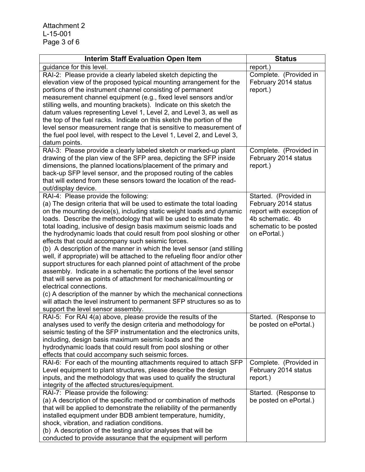Attachment 2 L-15-001 Page 3 of 6

| <b>Interim Staff Evaluation Open Item</b>                                                                                                                                                                                                                                                                                                                                                                                                                                                                                                                                                                                                                                                                                                                                                                                                                                                                                                                                                                             | <b>Status</b>                                                                                                  |
|-----------------------------------------------------------------------------------------------------------------------------------------------------------------------------------------------------------------------------------------------------------------------------------------------------------------------------------------------------------------------------------------------------------------------------------------------------------------------------------------------------------------------------------------------------------------------------------------------------------------------------------------------------------------------------------------------------------------------------------------------------------------------------------------------------------------------------------------------------------------------------------------------------------------------------------------------------------------------------------------------------------------------|----------------------------------------------------------------------------------------------------------------|
| guidance for this level.                                                                                                                                                                                                                                                                                                                                                                                                                                                                                                                                                                                                                                                                                                                                                                                                                                                                                                                                                                                              | report.)                                                                                                       |
| RAI-2: Please provide a clearly labeled sketch depicting the<br>elevation view of the proposed typical mounting arrangement for the<br>portions of the instrument channel consisting of permanent<br>measurement channel equipment (e.g., fixed level sensors and/or<br>stilling wells, and mounting brackets). Indicate on this sketch the<br>datum values representing Level 1, Level 2, and Level 3, as well as<br>the top of the fuel racks. Indicate on this sketch the portion of the<br>level sensor measurement range that is sensitive to measurement of<br>the fuel pool level, with respect to the Level 1, Level 2, and Level 3,<br>datum points.                                                                                                                                                                                                                                                                                                                                                         | Complete. (Provided in<br>February 2014 status<br>report.)                                                     |
| RAI-3: Please provide a clearly labeled sketch or marked-up plant<br>drawing of the plan view of the SFP area, depicting the SFP inside<br>dimensions, the planned locations/placement of the primary and<br>back-up SFP level sensor, and the proposed routing of the cables<br>that will extend from these sensors toward the location of the read-<br>out/display device.                                                                                                                                                                                                                                                                                                                                                                                                                                                                                                                                                                                                                                          | Complete. (Provided in<br>February 2014 status<br>report.)                                                     |
| RAI-4: Please provide the following:                                                                                                                                                                                                                                                                                                                                                                                                                                                                                                                                                                                                                                                                                                                                                                                                                                                                                                                                                                                  | Started. (Provided in                                                                                          |
| (a) The design criteria that will be used to estimate the total loading<br>on the mounting device(s), including static weight loads and dynamic<br>loads. Describe the methodology that will be used to estimate the<br>total loading, inclusive of design basis maximum seismic loads and<br>the hydrodynamic loads that could result from pool sloshing or other<br>effects that could accompany such seismic forces.<br>(b) A description of the manner in which the level sensor (and stilling<br>well, if appropriate) will be attached to the refueling floor and/or other<br>support structures for each planned point of attachment of the probe<br>assembly. Indicate in a schematic the portions of the level sensor<br>that will serve as points of attachment for mechanical/mounting or<br>electrical connections.<br>(c) A description of the manner by which the mechanical connections<br>will attach the level instrument to permanent SFP structures so as to<br>support the level sensor assembly. | February 2014 status<br>report with exception of<br>4b schematic. 4b<br>schematic to be posted<br>on ePortal.) |
| RAI-5: For RAI 4(a) above, please provide the results of the<br>analyses used to verify the design criteria and methodology for<br>seismic testing of the SFP instrumentation and the electronics units,<br>including, design basis maximum seismic loads and the<br>hydrodynamic loads that could result from pool sloshing or other<br>effects that could accompany such seismic forces.                                                                                                                                                                                                                                                                                                                                                                                                                                                                                                                                                                                                                            | Started. (Response to<br>be posted on ePortal.)                                                                |
| RAI-6: For each of the mounting attachments required to attach SFP<br>Level equipment to plant structures, please describe the design<br>inputs, and the methodology that was used to qualify the structural<br>integrity of the affected structures/equipment.                                                                                                                                                                                                                                                                                                                                                                                                                                                                                                                                                                                                                                                                                                                                                       | Complete. (Provided in<br>February 2014 status<br>report.)                                                     |
| RAI-7: Please provide the following:<br>(a) A description of the specific method or combination of methods<br>that will be applied to demonstrate the reliability of the permanently<br>installed equipment under BDB ambient temperature, humidity,<br>shock, vibration, and radiation conditions.<br>(b) A description of the testing and/or analyses that will be<br>conducted to provide assurance that the equipment will perform                                                                                                                                                                                                                                                                                                                                                                                                                                                                                                                                                                                | Started. (Response to<br>be posted on ePortal.)                                                                |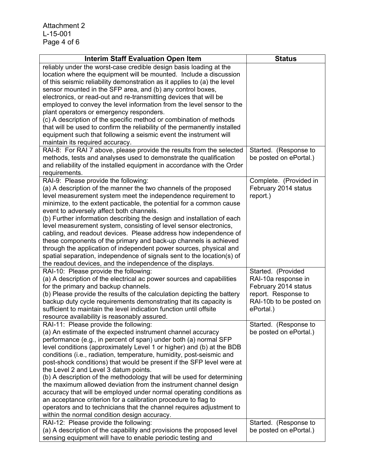| <b>Interim Staff Evaluation Open Item</b>                                                                                                 | <b>Status</b>                                   |
|-------------------------------------------------------------------------------------------------------------------------------------------|-------------------------------------------------|
| reliably under the worst-case credible design basis loading at the                                                                        |                                                 |
| location where the equipment will be mounted. Include a discussion                                                                        |                                                 |
| of this seismic reliability demonstration as it applies to (a) the level                                                                  |                                                 |
| sensor mounted in the SFP area, and (b) any control boxes,                                                                                |                                                 |
| electronics, or read-out and re-transmitting devices that will be                                                                         |                                                 |
| employed to convey the level information from the level sensor to the                                                                     |                                                 |
| plant operators or emergency responders.                                                                                                  |                                                 |
| (c) A description of the specific method or combination of methods                                                                        |                                                 |
| that will be used to confirm the reliability of the permanently installed                                                                 |                                                 |
| equipment such that following a seismic event the instrument will                                                                         |                                                 |
| maintain its required accuracy.                                                                                                           |                                                 |
| RAI-8: For RAI 7 above, please provide the results from the selected<br>methods, tests and analyses used to demonstrate the qualification | Started. (Response to<br>be posted on ePortal.) |
| and reliability of the installed equipment in accordance with the Order                                                                   |                                                 |
| requirements.                                                                                                                             |                                                 |
| RAI-9: Please provide the following:                                                                                                      | Complete. (Provided in                          |
| (a) A description of the manner the two channels of the proposed                                                                          | February 2014 status                            |
| level measurement system meet the independence requirement to                                                                             | report.)                                        |
| minimize, to the extent pacticable, the potential for a common cause                                                                      |                                                 |
| event to adversely affect both channels.                                                                                                  |                                                 |
| (b) Further information describing the design and installation of each                                                                    |                                                 |
| level measurement system, consisting of level sensor electronics,                                                                         |                                                 |
| cabling, and readout devices. Please address how independence of                                                                          |                                                 |
| these components of the primary and back-up channels is achieved                                                                          |                                                 |
| through the application of independent power sources, physical and                                                                        |                                                 |
| spatial separation, independence of signals sent to the location(s) of                                                                    |                                                 |
| the readout devices, and the independence of the displays.                                                                                |                                                 |
| RAI-10: Please provide the following:                                                                                                     | Started. (Provided                              |
| (a) A description of the electrical ac power sources and capabilities                                                                     | RAI-10a response in                             |
| for the primary and backup channels.                                                                                                      | February 2014 status                            |
| (b) Please provide the results of the calculation depicting the battery                                                                   | report. Response to                             |
| backup duty cycle requirements demonstrating that its capacity is<br>sufficient to maintain the level indication function until offsite   | RAI-10b to be posted on                         |
|                                                                                                                                           | ePortal.)                                       |
| resource availability is reasonably assured.<br>RAI-11: Please provide the following:                                                     | Started. (Response to                           |
| (a) An estimate of the expected instrument channel accuracy                                                                               | be posted on ePortal.)                          |
| performance (e.g., in percent of span) under both (a) normal SFP                                                                          |                                                 |
| level conditions (approximately Level 1 or higher) and (b) at the BDB                                                                     |                                                 |
| conditions (i.e., radiation, temperature, humidity, post-seismic and                                                                      |                                                 |
| post-shock conditions) that would be present if the SFP level were at                                                                     |                                                 |
| the Level 2 and Level 3 datum points.                                                                                                     |                                                 |
| (b) A description of the methodology that will be used for determining                                                                    |                                                 |
| the maximum allowed deviation from the instrument channel design                                                                          |                                                 |
| accuracy that will be employed under normal operating conditions as                                                                       |                                                 |
| an acceptance criterion for a calibration procedure to flag to                                                                            |                                                 |
| operators and to technicians that the channel requires adjustment to                                                                      |                                                 |
| within the normal condition design accuracy.                                                                                              |                                                 |
| RAI-12: Please provide the following:                                                                                                     | Started. (Response to                           |
| (a) A description of the capability and provisions the proposed level                                                                     | be posted on ePortal.)                          |
| sensing equipment will have to enable periodic testing and                                                                                |                                                 |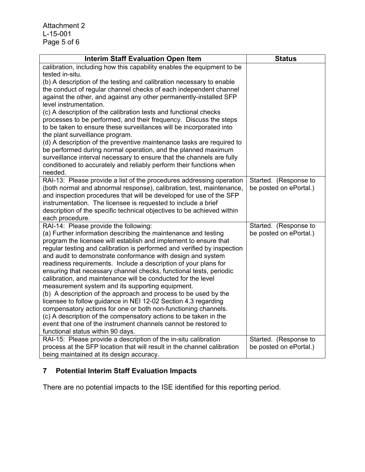Attachment 2 L-15-001 Page 5 of 6

| <b>Interim Staff Evaluation Open Item</b>                                                            | <b>Status</b>                                   |
|------------------------------------------------------------------------------------------------------|-------------------------------------------------|
| calibration, including how this capability enables the equipment to be                               |                                                 |
| tested in-situ.                                                                                      |                                                 |
| (b) A description of the testing and calibration necessary to enable                                 |                                                 |
| the conduct of regular channel checks of each independent channel                                    |                                                 |
| against the other, and against any other permanently-installed SFP                                   |                                                 |
| level instrumentation.<br>(c) A description of the calibration tests and functional checks           |                                                 |
| processes to be performed, and their frequency. Discuss the steps                                    |                                                 |
| to be taken to ensure these surveillances will be incorporated into                                  |                                                 |
| the plant surveillance program.                                                                      |                                                 |
| (d) A description of the preventive maintenance tasks are required to                                |                                                 |
| be performed during normal operation, and the planned maximum                                        |                                                 |
| surveillance interval necessary to ensure that the channels are fully                                |                                                 |
| conditioned to accurately and reliably perform their functions when                                  |                                                 |
| needed.                                                                                              |                                                 |
| RAI-13: Please provide a list of the procedures addressing operation                                 | Started. (Response to                           |
| (both normal and abnormal response), calibration, test, maintenance,                                 | be posted on ePortal.)                          |
| and inspection procedures that will be developed for use of the SFP                                  |                                                 |
| instrumentation. The licensee is requested to include a brief                                        |                                                 |
| description of the specific technical objectives to be achieved within                               |                                                 |
| each procedure.<br>RAI-14: Please provide the following:                                             | Started. (Response to                           |
| (a) Further information describing the maintenance and testing                                       | be posted on ePortal.)                          |
| program the licensee will establish and implement to ensure that                                     |                                                 |
| regular testing and calibration is performed and verified by inspection                              |                                                 |
| and audit to demonstrate conformance with design and system                                          |                                                 |
| readiness requirements. Include a description of your plans for                                      |                                                 |
| ensuring that necessary channel checks, functional tests, periodic                                   |                                                 |
| calibration, and maintenance will be conducted for the level                                         |                                                 |
| measurement system and its supporting equipment.                                                     |                                                 |
| (b) A description of the approach and process to be used by the                                      |                                                 |
| licensee to follow guidance in NEI 12-02 Section 4.3 regarding                                       |                                                 |
| compensatory actions for one or both non-functioning channels.                                       |                                                 |
| (c) A description of the compensatory actions to be taken in the                                     |                                                 |
| event that one of the instrument channels cannot be restored to                                      |                                                 |
| functional status within 90 days.<br>RAI-15: Please provide a description of the in-situ calibration |                                                 |
| process at the SFP location that will result in the channel calibration                              | Started. (Response to<br>be posted on ePortal.) |
|                                                                                                      |                                                 |
| being maintained at its design accuracy.                                                             |                                                 |

# **7 Potential Interim Staff Evaluation Impacts**

There are no potential impacts to the ISE identified for this reporting period.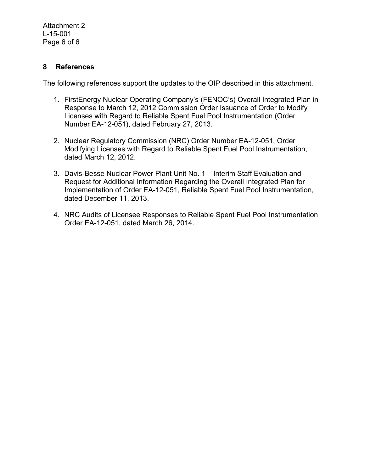#### **8 References**

The following references support the updates to the OIP described in this attachment.

- 1. FirstEnergy Nuclear Operating Company's (FENOC's) Overall Integrated Plan in Response to March 12, 2012 Commission Order Issuance of Order to Modify Licenses with Regard to Reliable Spent Fuel Pool Instrumentation (Order Number EA-12-051), dated February 27, 2013.
- 2. Nuclear Regulatory Commission (NRC) Order Number EA-12-051, Order Modifying Licenses with Regard to Reliable Spent Fuel Pool Instrumentation, dated March 12, 2012.
- 3. Davis-Besse Nuclear Power Plant Unit No. 1 Interim Staff Evaluation and Request for Additional Information Regarding the Overall Integrated Plan for Implementation of Order EA-12-051, Reliable Spent Fuel Pool Instrumentation, dated December 11, 2013.
- 4. NRC Audits of Licensee Responses to Reliable Spent Fuel Pool Instrumentation Order EA-12-051, dated March 26, 2014.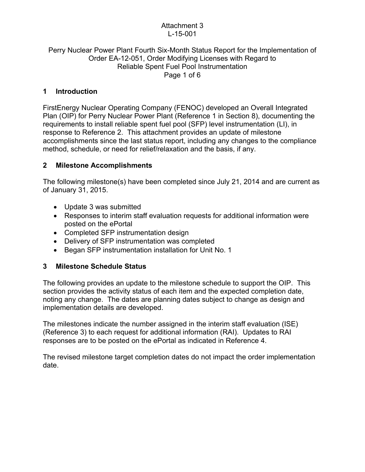#### Attachment 3 L-15-001

#### Perry Nuclear Power Plant Fourth Six-Month Status Report for the Implementation of Order EA-12-051, Order Modifying Licenses with Regard to Reliable Spent Fuel Pool Instrumentation Page 1 of 6

# **1 Introduction**

FirstEnergy Nuclear Operating Company (FENOC) developed an Overall Integrated Plan (OIP) for Perry Nuclear Power Plant (Reference 1 in Section 8), documenting the requirements to install reliable spent fuel pool (SFP) level instrumentation (LI), in response to Reference 2. This attachment provides an update of milestone accomplishments since the last status report, including any changes to the compliance method, schedule, or need for relief/relaxation and the basis, if any.

# **2 Milestone Accomplishments**

The following milestone(s) have been completed since July 21, 2014 and are current as of January 31, 2015.

- Update 3 was submitted
- Responses to interim staff evaluation requests for additional information were posted on the ePortal
- Completed SFP instrumentation design
- Delivery of SFP instrumentation was completed
- Began SFP instrumentation installation for Unit No. 1

# **3 Milestone Schedule Status**

The following provides an update to the milestone schedule to support the OIP. This section provides the activity status of each item and the expected completion date, noting any change. The dates are planning dates subject to change as design and implementation details are developed.

The milestones indicate the number assigned in the interim staff evaluation (ISE) (Reference 3) to each request for additional information (RAI). Updates to RAI responses are to be posted on the ePortal as indicated in Reference 4.

The revised milestone target completion dates do not impact the order implementation date.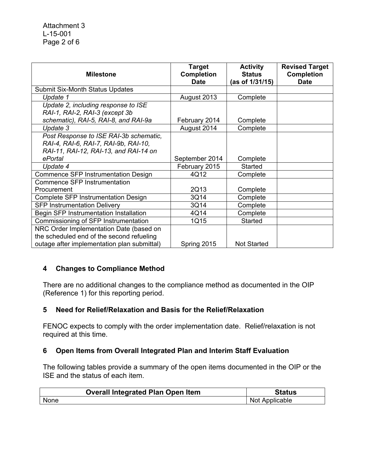| <b>Milestone</b>                            | <b>Target</b><br><b>Completion</b><br><b>Date</b> | <b>Activity</b><br><b>Status</b><br>(as of 1/31/15) | <b>Revised Target</b><br><b>Completion</b><br><b>Date</b> |
|---------------------------------------------|---------------------------------------------------|-----------------------------------------------------|-----------------------------------------------------------|
| <b>Submit Six-Month Status Updates</b>      |                                                   |                                                     |                                                           |
| Update 1                                    | August 2013                                       | Complete                                            |                                                           |
| Update 2, including response to ISE         |                                                   |                                                     |                                                           |
| RAI-1, RAI-2, RAI-3 (except 3b              |                                                   |                                                     |                                                           |
| schematic), RAI-5, RAI-8, and RAI-9a        | February 2014                                     | Complete                                            |                                                           |
| Update 3                                    | August 2014                                       | Complete                                            |                                                           |
| Post Response to ISE RAI-3b schematic,      |                                                   |                                                     |                                                           |
| RAI-4, RAI-6, RAI-7, RAI-9b, RAI-10,        |                                                   |                                                     |                                                           |
| RAI-11, RAI-12, RAI-13, and RAI-14 on       |                                                   |                                                     |                                                           |
| ePortal                                     | September 2014                                    | Complete                                            |                                                           |
| Update 4                                    | February 2015                                     | <b>Started</b>                                      |                                                           |
| Commence SFP Instrumentation Design         | 4Q12                                              | Complete                                            |                                                           |
| <b>Commence SFP Instrumentation</b>         |                                                   |                                                     |                                                           |
| Procurement                                 | 2Q13                                              | Complete                                            |                                                           |
| Complete SFP Instrumentation Design         | 3Q14                                              | Complete                                            |                                                           |
| <b>SFP Instrumentation Delivery</b>         | 3Q14                                              | Complete                                            |                                                           |
| Begin SFP Instrumentation Installation      | 4Q14                                              | Complete                                            |                                                           |
| Commissioning of SFP Instrumentation        | 1Q15                                              | <b>Started</b>                                      |                                                           |
| NRC Order Implementation Date (based on     |                                                   |                                                     |                                                           |
| the scheduled end of the second refueling   |                                                   |                                                     |                                                           |
| outage after implementation plan submittal) | Spring 2015                                       | <b>Not Started</b>                                  |                                                           |

# **4 Changes to Compliance Method**

There are no additional changes to the compliance method as documented in the OIP (Reference 1) for this reporting period.

# **5 Need for Relief/Relaxation and Basis for the Relief/Relaxation**

FENOC expects to comply with the order implementation date. Relief/relaxation is not required at this time.

# **6 Open Items from Overall Integrated Plan and Interim Staff Evaluation**

The following tables provide a summary of the open items documented in the OIP or the ISE and the status of each item.

| <b>Overall Integrated Plan Open Item</b> | Status         |
|------------------------------------------|----------------|
| None                                     | Not Applicable |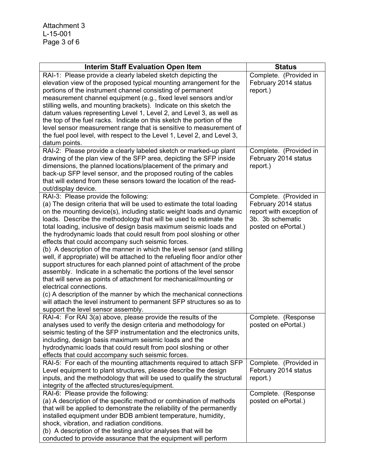| <b>Interim Staff Evaluation Open Item</b>                                                                                             | <b>Status</b>                    |
|---------------------------------------------------------------------------------------------------------------------------------------|----------------------------------|
| RAI-1: Please provide a clearly labeled sketch depicting the                                                                          | Complete. (Provided in           |
| elevation view of the proposed typical mounting arrangement for the                                                                   | February 2014 status             |
| portions of the instrument channel consisting of permanent                                                                            | report.)                         |
| measurement channel equipment (e.g., fixed level sensors and/or                                                                       |                                  |
| stilling wells, and mounting brackets). Indicate on this sketch the                                                                   |                                  |
| datum values representing Level 1, Level 2, and Level 3, as well as                                                                   |                                  |
| the top of the fuel racks. Indicate on this sketch the portion of the                                                                 |                                  |
| level sensor measurement range that is sensitive to measurement of                                                                    |                                  |
| the fuel pool level, with respect to the Level 1, Level 2, and Level 3,                                                               |                                  |
| datum points.                                                                                                                         |                                  |
| RAI-2: Please provide a clearly labeled sketch or marked-up plant                                                                     | Complete. (Provided in           |
| drawing of the plan view of the SFP area, depicting the SFP inside                                                                    | February 2014 status             |
| dimensions, the planned locations/placement of the primary and                                                                        | report.)                         |
| back-up SFP level sensor, and the proposed routing of the cables                                                                      |                                  |
| that will extend from these sensors toward the location of the read-                                                                  |                                  |
| out/display device.                                                                                                                   |                                  |
| RAI-3: Please provide the following:                                                                                                  | Complete. (Provided in           |
| (a) The design criteria that will be used to estimate the total loading                                                               | February 2014 status             |
| on the mounting device(s), including static weight loads and dynamic                                                                  | report with exception of         |
| loads. Describe the methodology that will be used to estimate the                                                                     | 3b. 3b schematic                 |
| total loading, inclusive of design basis maximum seismic loads and                                                                    | posted on ePortal.)              |
| the hydrodynamic loads that could result from pool sloshing or other                                                                  |                                  |
| effects that could accompany such seismic forces.                                                                                     |                                  |
| (b) A description of the manner in which the level sensor (and stilling                                                               |                                  |
| well, if appropriate) will be attached to the refueling floor and/or other                                                            |                                  |
| support structures for each planned point of attachment of the probe                                                                  |                                  |
| assembly. Indicate in a schematic the portions of the level sensor                                                                    |                                  |
| that will serve as points of attachment for mechanical/mounting or                                                                    |                                  |
| electrical connections.                                                                                                               |                                  |
| (c) A description of the manner by which the mechanical connections                                                                   |                                  |
| will attach the level instrument to permanent SFP structures so as to                                                                 |                                  |
| support the level sensor assembly.                                                                                                    |                                  |
| RAI-4: For RAI 3(a) above, please provide the results of the                                                                          | Complete. (Response              |
| analyses used to verify the design criteria and methodology for                                                                       | posted on ePortal.)              |
| seismic testing of the SFP instrumentation and the electronics units,                                                                 |                                  |
| including, design basis maximum seismic loads and the                                                                                 |                                  |
| hydrodynamic loads that could result from pool sloshing or other                                                                      |                                  |
| effects that could accompany such seismic forces.                                                                                     |                                  |
| RAI-5: For each of the mounting attachments required to attach SFP<br>Level equipment to plant structures, please describe the design | Complete. (Provided in           |
| inputs, and the methodology that will be used to qualify the structural                                                               | February 2014 status<br>report.) |
| integrity of the affected structures/equipment.                                                                                       |                                  |
| RAI-6: Please provide the following:                                                                                                  | Complete. (Response              |
| (a) A description of the specific method or combination of methods                                                                    | posted on ePortal.)              |
| that will be applied to demonstrate the reliability of the permanently                                                                |                                  |
| installed equipment under BDB ambient temperature, humidity,                                                                          |                                  |
| shock, vibration, and radiation conditions.                                                                                           |                                  |
| (b) A description of the testing and/or analyses that will be                                                                         |                                  |
| conducted to provide assurance that the equipment will perform                                                                        |                                  |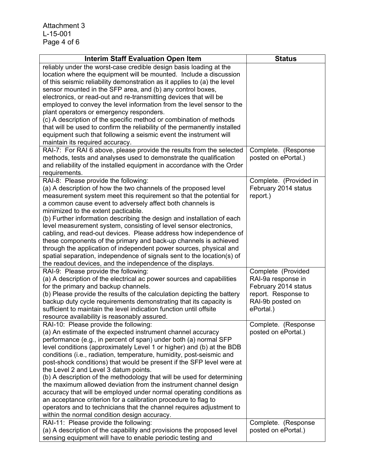| reliably under the worst-case credible design basis loading at the<br>location where the equipment will be mounted. Include a discussion<br>of this seismic reliability demonstration as it applies to (a) the level<br>sensor mounted in the SFP area, and (b) any control boxes,<br>electronics, or read-out and re-transmitting devices that will be<br>employed to convey the level information from the level sensor to the<br>plant operators or emergency responders.<br>(c) A description of the specific method or combination of methods<br>that will be used to confirm the reliability of the permanently installed<br>equipment such that following a seismic event the instrument will<br>maintain its required accuracy.<br>RAI-7: For RAI 6 above, please provide the results from the selected<br>Complete. (Response<br>methods, tests and analyses used to demonstrate the qualification<br>posted on ePortal.)<br>and reliability of the installed equipment in accordance with the Order<br>requirements.<br>RAI-8: Please provide the following:<br>Complete. (Provided in<br>(a) A description of how the two channels of the proposed level<br>February 2014 status<br>measurement system meet this requirement so that the potential for<br>report.)<br>a common cause event to adversely affect both channels is<br>minimized to the extent pacticable.<br>(b) Further information describing the design and installation of each<br>level measurement system, consisting of level sensor electronics,<br>cabling, and read-out devices. Please address how independence of<br>these components of the primary and back-up channels is achieved<br>through the application of independent power sources, physical and<br>spatial separation, independence of signals sent to the location(s) of<br>the readout devices, and the independence of the displays.<br>RAI-9: Please provide the following:<br>Complete (Provided<br>(a) A description of the electrical ac power sources and capabilities<br>RAI-9a response in<br>for the primary and backup channels.<br>February 2014 status<br>(b) Please provide the results of the calculation depicting the battery<br>report. Response to<br>backup duty cycle requirements demonstrating that its capacity is<br>RAI-9b posted on<br>sufficient to maintain the level indication function until offsite<br>ePortal.)<br>resource availability is reasonably assured.<br>RAI-10: Please provide the following:<br>Complete. (Response<br>(a) An estimate of the expected instrument channel accuracy<br>posted on ePortal.)<br>performance (e.g., in percent of span) under both (a) normal SFP<br>level conditions (approximately Level 1 or higher) and (b) at the BDB<br>conditions (i.e., radiation, temperature, humidity, post-seismic and<br>post-shock conditions) that would be present if the SFP level were at<br>the Level 2 and Level 3 datum points.<br>(b) A description of the methodology that will be used for determining<br>the maximum allowed deviation from the instrument channel design<br>accuracy that will be employed under normal operating conditions as<br>an acceptance criterion for a calibration procedure to flag to<br>operators and to technicians that the channel requires adjustment to<br>within the normal condition design accuracy.<br>RAI-11: Please provide the following:<br>Complete. (Response<br>(a) A description of the capability and provisions the proposed level<br>posted on ePortal.) | <b>Interim Staff Evaluation Open Item</b> | <b>Status</b> |
|--------------------------------------------------------------------------------------------------------------------------------------------------------------------------------------------------------------------------------------------------------------------------------------------------------------------------------------------------------------------------------------------------------------------------------------------------------------------------------------------------------------------------------------------------------------------------------------------------------------------------------------------------------------------------------------------------------------------------------------------------------------------------------------------------------------------------------------------------------------------------------------------------------------------------------------------------------------------------------------------------------------------------------------------------------------------------------------------------------------------------------------------------------------------------------------------------------------------------------------------------------------------------------------------------------------------------------------------------------------------------------------------------------------------------------------------------------------------------------------------------------------------------------------------------------------------------------------------------------------------------------------------------------------------------------------------------------------------------------------------------------------------------------------------------------------------------------------------------------------------------------------------------------------------------------------------------------------------------------------------------------------------------------------------------------------------------------------------------------------------------------------------------------------------------------------------------------------------------------------------------------------------------------------------------------------------------------------------------------------------------------------------------------------------------------------------------------------------------------------------------------------------------------------------------------------------------------------------------------------------------------------------------------------------------------------------------------------------------------------------------------------------------------------------------------------------------------------------------------------------------------------------------------------------------------------------------------------------------------------------------------------------------------------------------------------------------------------------------------------------------------------------------------------------------------------------------------------------------------------------------------------------------------------------------------------------------------------------------------------------------------------------------------------------------------------------------------------------------------------------------------------------------------|-------------------------------------------|---------------|
|                                                                                                                                                                                                                                                                                                                                                                                                                                                                                                                                                                                                                                                                                                                                                                                                                                                                                                                                                                                                                                                                                                                                                                                                                                                                                                                                                                                                                                                                                                                                                                                                                                                                                                                                                                                                                                                                                                                                                                                                                                                                                                                                                                                                                                                                                                                                                                                                                                                                                                                                                                                                                                                                                                                                                                                                                                                                                                                                                                                                                                                                                                                                                                                                                                                                                                                                                                                                                                                                                                                                |                                           |               |
|                                                                                                                                                                                                                                                                                                                                                                                                                                                                                                                                                                                                                                                                                                                                                                                                                                                                                                                                                                                                                                                                                                                                                                                                                                                                                                                                                                                                                                                                                                                                                                                                                                                                                                                                                                                                                                                                                                                                                                                                                                                                                                                                                                                                                                                                                                                                                                                                                                                                                                                                                                                                                                                                                                                                                                                                                                                                                                                                                                                                                                                                                                                                                                                                                                                                                                                                                                                                                                                                                                                                |                                           |               |
|                                                                                                                                                                                                                                                                                                                                                                                                                                                                                                                                                                                                                                                                                                                                                                                                                                                                                                                                                                                                                                                                                                                                                                                                                                                                                                                                                                                                                                                                                                                                                                                                                                                                                                                                                                                                                                                                                                                                                                                                                                                                                                                                                                                                                                                                                                                                                                                                                                                                                                                                                                                                                                                                                                                                                                                                                                                                                                                                                                                                                                                                                                                                                                                                                                                                                                                                                                                                                                                                                                                                |                                           |               |
|                                                                                                                                                                                                                                                                                                                                                                                                                                                                                                                                                                                                                                                                                                                                                                                                                                                                                                                                                                                                                                                                                                                                                                                                                                                                                                                                                                                                                                                                                                                                                                                                                                                                                                                                                                                                                                                                                                                                                                                                                                                                                                                                                                                                                                                                                                                                                                                                                                                                                                                                                                                                                                                                                                                                                                                                                                                                                                                                                                                                                                                                                                                                                                                                                                                                                                                                                                                                                                                                                                                                |                                           |               |
|                                                                                                                                                                                                                                                                                                                                                                                                                                                                                                                                                                                                                                                                                                                                                                                                                                                                                                                                                                                                                                                                                                                                                                                                                                                                                                                                                                                                                                                                                                                                                                                                                                                                                                                                                                                                                                                                                                                                                                                                                                                                                                                                                                                                                                                                                                                                                                                                                                                                                                                                                                                                                                                                                                                                                                                                                                                                                                                                                                                                                                                                                                                                                                                                                                                                                                                                                                                                                                                                                                                                |                                           |               |
|                                                                                                                                                                                                                                                                                                                                                                                                                                                                                                                                                                                                                                                                                                                                                                                                                                                                                                                                                                                                                                                                                                                                                                                                                                                                                                                                                                                                                                                                                                                                                                                                                                                                                                                                                                                                                                                                                                                                                                                                                                                                                                                                                                                                                                                                                                                                                                                                                                                                                                                                                                                                                                                                                                                                                                                                                                                                                                                                                                                                                                                                                                                                                                                                                                                                                                                                                                                                                                                                                                                                |                                           |               |
|                                                                                                                                                                                                                                                                                                                                                                                                                                                                                                                                                                                                                                                                                                                                                                                                                                                                                                                                                                                                                                                                                                                                                                                                                                                                                                                                                                                                                                                                                                                                                                                                                                                                                                                                                                                                                                                                                                                                                                                                                                                                                                                                                                                                                                                                                                                                                                                                                                                                                                                                                                                                                                                                                                                                                                                                                                                                                                                                                                                                                                                                                                                                                                                                                                                                                                                                                                                                                                                                                                                                |                                           |               |
|                                                                                                                                                                                                                                                                                                                                                                                                                                                                                                                                                                                                                                                                                                                                                                                                                                                                                                                                                                                                                                                                                                                                                                                                                                                                                                                                                                                                                                                                                                                                                                                                                                                                                                                                                                                                                                                                                                                                                                                                                                                                                                                                                                                                                                                                                                                                                                                                                                                                                                                                                                                                                                                                                                                                                                                                                                                                                                                                                                                                                                                                                                                                                                                                                                                                                                                                                                                                                                                                                                                                |                                           |               |
|                                                                                                                                                                                                                                                                                                                                                                                                                                                                                                                                                                                                                                                                                                                                                                                                                                                                                                                                                                                                                                                                                                                                                                                                                                                                                                                                                                                                                                                                                                                                                                                                                                                                                                                                                                                                                                                                                                                                                                                                                                                                                                                                                                                                                                                                                                                                                                                                                                                                                                                                                                                                                                                                                                                                                                                                                                                                                                                                                                                                                                                                                                                                                                                                                                                                                                                                                                                                                                                                                                                                |                                           |               |
|                                                                                                                                                                                                                                                                                                                                                                                                                                                                                                                                                                                                                                                                                                                                                                                                                                                                                                                                                                                                                                                                                                                                                                                                                                                                                                                                                                                                                                                                                                                                                                                                                                                                                                                                                                                                                                                                                                                                                                                                                                                                                                                                                                                                                                                                                                                                                                                                                                                                                                                                                                                                                                                                                                                                                                                                                                                                                                                                                                                                                                                                                                                                                                                                                                                                                                                                                                                                                                                                                                                                |                                           |               |
|                                                                                                                                                                                                                                                                                                                                                                                                                                                                                                                                                                                                                                                                                                                                                                                                                                                                                                                                                                                                                                                                                                                                                                                                                                                                                                                                                                                                                                                                                                                                                                                                                                                                                                                                                                                                                                                                                                                                                                                                                                                                                                                                                                                                                                                                                                                                                                                                                                                                                                                                                                                                                                                                                                                                                                                                                                                                                                                                                                                                                                                                                                                                                                                                                                                                                                                                                                                                                                                                                                                                |                                           |               |
|                                                                                                                                                                                                                                                                                                                                                                                                                                                                                                                                                                                                                                                                                                                                                                                                                                                                                                                                                                                                                                                                                                                                                                                                                                                                                                                                                                                                                                                                                                                                                                                                                                                                                                                                                                                                                                                                                                                                                                                                                                                                                                                                                                                                                                                                                                                                                                                                                                                                                                                                                                                                                                                                                                                                                                                                                                                                                                                                                                                                                                                                                                                                                                                                                                                                                                                                                                                                                                                                                                                                |                                           |               |
|                                                                                                                                                                                                                                                                                                                                                                                                                                                                                                                                                                                                                                                                                                                                                                                                                                                                                                                                                                                                                                                                                                                                                                                                                                                                                                                                                                                                                                                                                                                                                                                                                                                                                                                                                                                                                                                                                                                                                                                                                                                                                                                                                                                                                                                                                                                                                                                                                                                                                                                                                                                                                                                                                                                                                                                                                                                                                                                                                                                                                                                                                                                                                                                                                                                                                                                                                                                                                                                                                                                                |                                           |               |
|                                                                                                                                                                                                                                                                                                                                                                                                                                                                                                                                                                                                                                                                                                                                                                                                                                                                                                                                                                                                                                                                                                                                                                                                                                                                                                                                                                                                                                                                                                                                                                                                                                                                                                                                                                                                                                                                                                                                                                                                                                                                                                                                                                                                                                                                                                                                                                                                                                                                                                                                                                                                                                                                                                                                                                                                                                                                                                                                                                                                                                                                                                                                                                                                                                                                                                                                                                                                                                                                                                                                |                                           |               |
|                                                                                                                                                                                                                                                                                                                                                                                                                                                                                                                                                                                                                                                                                                                                                                                                                                                                                                                                                                                                                                                                                                                                                                                                                                                                                                                                                                                                                                                                                                                                                                                                                                                                                                                                                                                                                                                                                                                                                                                                                                                                                                                                                                                                                                                                                                                                                                                                                                                                                                                                                                                                                                                                                                                                                                                                                                                                                                                                                                                                                                                                                                                                                                                                                                                                                                                                                                                                                                                                                                                                |                                           |               |
|                                                                                                                                                                                                                                                                                                                                                                                                                                                                                                                                                                                                                                                                                                                                                                                                                                                                                                                                                                                                                                                                                                                                                                                                                                                                                                                                                                                                                                                                                                                                                                                                                                                                                                                                                                                                                                                                                                                                                                                                                                                                                                                                                                                                                                                                                                                                                                                                                                                                                                                                                                                                                                                                                                                                                                                                                                                                                                                                                                                                                                                                                                                                                                                                                                                                                                                                                                                                                                                                                                                                |                                           |               |
|                                                                                                                                                                                                                                                                                                                                                                                                                                                                                                                                                                                                                                                                                                                                                                                                                                                                                                                                                                                                                                                                                                                                                                                                                                                                                                                                                                                                                                                                                                                                                                                                                                                                                                                                                                                                                                                                                                                                                                                                                                                                                                                                                                                                                                                                                                                                                                                                                                                                                                                                                                                                                                                                                                                                                                                                                                                                                                                                                                                                                                                                                                                                                                                                                                                                                                                                                                                                                                                                                                                                |                                           |               |
|                                                                                                                                                                                                                                                                                                                                                                                                                                                                                                                                                                                                                                                                                                                                                                                                                                                                                                                                                                                                                                                                                                                                                                                                                                                                                                                                                                                                                                                                                                                                                                                                                                                                                                                                                                                                                                                                                                                                                                                                                                                                                                                                                                                                                                                                                                                                                                                                                                                                                                                                                                                                                                                                                                                                                                                                                                                                                                                                                                                                                                                                                                                                                                                                                                                                                                                                                                                                                                                                                                                                |                                           |               |
|                                                                                                                                                                                                                                                                                                                                                                                                                                                                                                                                                                                                                                                                                                                                                                                                                                                                                                                                                                                                                                                                                                                                                                                                                                                                                                                                                                                                                                                                                                                                                                                                                                                                                                                                                                                                                                                                                                                                                                                                                                                                                                                                                                                                                                                                                                                                                                                                                                                                                                                                                                                                                                                                                                                                                                                                                                                                                                                                                                                                                                                                                                                                                                                                                                                                                                                                                                                                                                                                                                                                |                                           |               |
|                                                                                                                                                                                                                                                                                                                                                                                                                                                                                                                                                                                                                                                                                                                                                                                                                                                                                                                                                                                                                                                                                                                                                                                                                                                                                                                                                                                                                                                                                                                                                                                                                                                                                                                                                                                                                                                                                                                                                                                                                                                                                                                                                                                                                                                                                                                                                                                                                                                                                                                                                                                                                                                                                                                                                                                                                                                                                                                                                                                                                                                                                                                                                                                                                                                                                                                                                                                                                                                                                                                                |                                           |               |
|                                                                                                                                                                                                                                                                                                                                                                                                                                                                                                                                                                                                                                                                                                                                                                                                                                                                                                                                                                                                                                                                                                                                                                                                                                                                                                                                                                                                                                                                                                                                                                                                                                                                                                                                                                                                                                                                                                                                                                                                                                                                                                                                                                                                                                                                                                                                                                                                                                                                                                                                                                                                                                                                                                                                                                                                                                                                                                                                                                                                                                                                                                                                                                                                                                                                                                                                                                                                                                                                                                                                |                                           |               |
|                                                                                                                                                                                                                                                                                                                                                                                                                                                                                                                                                                                                                                                                                                                                                                                                                                                                                                                                                                                                                                                                                                                                                                                                                                                                                                                                                                                                                                                                                                                                                                                                                                                                                                                                                                                                                                                                                                                                                                                                                                                                                                                                                                                                                                                                                                                                                                                                                                                                                                                                                                                                                                                                                                                                                                                                                                                                                                                                                                                                                                                                                                                                                                                                                                                                                                                                                                                                                                                                                                                                |                                           |               |
|                                                                                                                                                                                                                                                                                                                                                                                                                                                                                                                                                                                                                                                                                                                                                                                                                                                                                                                                                                                                                                                                                                                                                                                                                                                                                                                                                                                                                                                                                                                                                                                                                                                                                                                                                                                                                                                                                                                                                                                                                                                                                                                                                                                                                                                                                                                                                                                                                                                                                                                                                                                                                                                                                                                                                                                                                                                                                                                                                                                                                                                                                                                                                                                                                                                                                                                                                                                                                                                                                                                                |                                           |               |
|                                                                                                                                                                                                                                                                                                                                                                                                                                                                                                                                                                                                                                                                                                                                                                                                                                                                                                                                                                                                                                                                                                                                                                                                                                                                                                                                                                                                                                                                                                                                                                                                                                                                                                                                                                                                                                                                                                                                                                                                                                                                                                                                                                                                                                                                                                                                                                                                                                                                                                                                                                                                                                                                                                                                                                                                                                                                                                                                                                                                                                                                                                                                                                                                                                                                                                                                                                                                                                                                                                                                |                                           |               |
|                                                                                                                                                                                                                                                                                                                                                                                                                                                                                                                                                                                                                                                                                                                                                                                                                                                                                                                                                                                                                                                                                                                                                                                                                                                                                                                                                                                                                                                                                                                                                                                                                                                                                                                                                                                                                                                                                                                                                                                                                                                                                                                                                                                                                                                                                                                                                                                                                                                                                                                                                                                                                                                                                                                                                                                                                                                                                                                                                                                                                                                                                                                                                                                                                                                                                                                                                                                                                                                                                                                                |                                           |               |
|                                                                                                                                                                                                                                                                                                                                                                                                                                                                                                                                                                                                                                                                                                                                                                                                                                                                                                                                                                                                                                                                                                                                                                                                                                                                                                                                                                                                                                                                                                                                                                                                                                                                                                                                                                                                                                                                                                                                                                                                                                                                                                                                                                                                                                                                                                                                                                                                                                                                                                                                                                                                                                                                                                                                                                                                                                                                                                                                                                                                                                                                                                                                                                                                                                                                                                                                                                                                                                                                                                                                |                                           |               |
|                                                                                                                                                                                                                                                                                                                                                                                                                                                                                                                                                                                                                                                                                                                                                                                                                                                                                                                                                                                                                                                                                                                                                                                                                                                                                                                                                                                                                                                                                                                                                                                                                                                                                                                                                                                                                                                                                                                                                                                                                                                                                                                                                                                                                                                                                                                                                                                                                                                                                                                                                                                                                                                                                                                                                                                                                                                                                                                                                                                                                                                                                                                                                                                                                                                                                                                                                                                                                                                                                                                                |                                           |               |
|                                                                                                                                                                                                                                                                                                                                                                                                                                                                                                                                                                                                                                                                                                                                                                                                                                                                                                                                                                                                                                                                                                                                                                                                                                                                                                                                                                                                                                                                                                                                                                                                                                                                                                                                                                                                                                                                                                                                                                                                                                                                                                                                                                                                                                                                                                                                                                                                                                                                                                                                                                                                                                                                                                                                                                                                                                                                                                                                                                                                                                                                                                                                                                                                                                                                                                                                                                                                                                                                                                                                |                                           |               |
|                                                                                                                                                                                                                                                                                                                                                                                                                                                                                                                                                                                                                                                                                                                                                                                                                                                                                                                                                                                                                                                                                                                                                                                                                                                                                                                                                                                                                                                                                                                                                                                                                                                                                                                                                                                                                                                                                                                                                                                                                                                                                                                                                                                                                                                                                                                                                                                                                                                                                                                                                                                                                                                                                                                                                                                                                                                                                                                                                                                                                                                                                                                                                                                                                                                                                                                                                                                                                                                                                                                                |                                           |               |
|                                                                                                                                                                                                                                                                                                                                                                                                                                                                                                                                                                                                                                                                                                                                                                                                                                                                                                                                                                                                                                                                                                                                                                                                                                                                                                                                                                                                                                                                                                                                                                                                                                                                                                                                                                                                                                                                                                                                                                                                                                                                                                                                                                                                                                                                                                                                                                                                                                                                                                                                                                                                                                                                                                                                                                                                                                                                                                                                                                                                                                                                                                                                                                                                                                                                                                                                                                                                                                                                                                                                |                                           |               |
|                                                                                                                                                                                                                                                                                                                                                                                                                                                                                                                                                                                                                                                                                                                                                                                                                                                                                                                                                                                                                                                                                                                                                                                                                                                                                                                                                                                                                                                                                                                                                                                                                                                                                                                                                                                                                                                                                                                                                                                                                                                                                                                                                                                                                                                                                                                                                                                                                                                                                                                                                                                                                                                                                                                                                                                                                                                                                                                                                                                                                                                                                                                                                                                                                                                                                                                                                                                                                                                                                                                                |                                           |               |
|                                                                                                                                                                                                                                                                                                                                                                                                                                                                                                                                                                                                                                                                                                                                                                                                                                                                                                                                                                                                                                                                                                                                                                                                                                                                                                                                                                                                                                                                                                                                                                                                                                                                                                                                                                                                                                                                                                                                                                                                                                                                                                                                                                                                                                                                                                                                                                                                                                                                                                                                                                                                                                                                                                                                                                                                                                                                                                                                                                                                                                                                                                                                                                                                                                                                                                                                                                                                                                                                                                                                |                                           |               |
|                                                                                                                                                                                                                                                                                                                                                                                                                                                                                                                                                                                                                                                                                                                                                                                                                                                                                                                                                                                                                                                                                                                                                                                                                                                                                                                                                                                                                                                                                                                                                                                                                                                                                                                                                                                                                                                                                                                                                                                                                                                                                                                                                                                                                                                                                                                                                                                                                                                                                                                                                                                                                                                                                                                                                                                                                                                                                                                                                                                                                                                                                                                                                                                                                                                                                                                                                                                                                                                                                                                                |                                           |               |
|                                                                                                                                                                                                                                                                                                                                                                                                                                                                                                                                                                                                                                                                                                                                                                                                                                                                                                                                                                                                                                                                                                                                                                                                                                                                                                                                                                                                                                                                                                                                                                                                                                                                                                                                                                                                                                                                                                                                                                                                                                                                                                                                                                                                                                                                                                                                                                                                                                                                                                                                                                                                                                                                                                                                                                                                                                                                                                                                                                                                                                                                                                                                                                                                                                                                                                                                                                                                                                                                                                                                |                                           |               |
|                                                                                                                                                                                                                                                                                                                                                                                                                                                                                                                                                                                                                                                                                                                                                                                                                                                                                                                                                                                                                                                                                                                                                                                                                                                                                                                                                                                                                                                                                                                                                                                                                                                                                                                                                                                                                                                                                                                                                                                                                                                                                                                                                                                                                                                                                                                                                                                                                                                                                                                                                                                                                                                                                                                                                                                                                                                                                                                                                                                                                                                                                                                                                                                                                                                                                                                                                                                                                                                                                                                                |                                           |               |
|                                                                                                                                                                                                                                                                                                                                                                                                                                                                                                                                                                                                                                                                                                                                                                                                                                                                                                                                                                                                                                                                                                                                                                                                                                                                                                                                                                                                                                                                                                                                                                                                                                                                                                                                                                                                                                                                                                                                                                                                                                                                                                                                                                                                                                                                                                                                                                                                                                                                                                                                                                                                                                                                                                                                                                                                                                                                                                                                                                                                                                                                                                                                                                                                                                                                                                                                                                                                                                                                                                                                |                                           |               |
|                                                                                                                                                                                                                                                                                                                                                                                                                                                                                                                                                                                                                                                                                                                                                                                                                                                                                                                                                                                                                                                                                                                                                                                                                                                                                                                                                                                                                                                                                                                                                                                                                                                                                                                                                                                                                                                                                                                                                                                                                                                                                                                                                                                                                                                                                                                                                                                                                                                                                                                                                                                                                                                                                                                                                                                                                                                                                                                                                                                                                                                                                                                                                                                                                                                                                                                                                                                                                                                                                                                                |                                           |               |
|                                                                                                                                                                                                                                                                                                                                                                                                                                                                                                                                                                                                                                                                                                                                                                                                                                                                                                                                                                                                                                                                                                                                                                                                                                                                                                                                                                                                                                                                                                                                                                                                                                                                                                                                                                                                                                                                                                                                                                                                                                                                                                                                                                                                                                                                                                                                                                                                                                                                                                                                                                                                                                                                                                                                                                                                                                                                                                                                                                                                                                                                                                                                                                                                                                                                                                                                                                                                                                                                                                                                |                                           |               |
|                                                                                                                                                                                                                                                                                                                                                                                                                                                                                                                                                                                                                                                                                                                                                                                                                                                                                                                                                                                                                                                                                                                                                                                                                                                                                                                                                                                                                                                                                                                                                                                                                                                                                                                                                                                                                                                                                                                                                                                                                                                                                                                                                                                                                                                                                                                                                                                                                                                                                                                                                                                                                                                                                                                                                                                                                                                                                                                                                                                                                                                                                                                                                                                                                                                                                                                                                                                                                                                                                                                                |                                           |               |
|                                                                                                                                                                                                                                                                                                                                                                                                                                                                                                                                                                                                                                                                                                                                                                                                                                                                                                                                                                                                                                                                                                                                                                                                                                                                                                                                                                                                                                                                                                                                                                                                                                                                                                                                                                                                                                                                                                                                                                                                                                                                                                                                                                                                                                                                                                                                                                                                                                                                                                                                                                                                                                                                                                                                                                                                                                                                                                                                                                                                                                                                                                                                                                                                                                                                                                                                                                                                                                                                                                                                |                                           |               |
|                                                                                                                                                                                                                                                                                                                                                                                                                                                                                                                                                                                                                                                                                                                                                                                                                                                                                                                                                                                                                                                                                                                                                                                                                                                                                                                                                                                                                                                                                                                                                                                                                                                                                                                                                                                                                                                                                                                                                                                                                                                                                                                                                                                                                                                                                                                                                                                                                                                                                                                                                                                                                                                                                                                                                                                                                                                                                                                                                                                                                                                                                                                                                                                                                                                                                                                                                                                                                                                                                                                                |                                           |               |
|                                                                                                                                                                                                                                                                                                                                                                                                                                                                                                                                                                                                                                                                                                                                                                                                                                                                                                                                                                                                                                                                                                                                                                                                                                                                                                                                                                                                                                                                                                                                                                                                                                                                                                                                                                                                                                                                                                                                                                                                                                                                                                                                                                                                                                                                                                                                                                                                                                                                                                                                                                                                                                                                                                                                                                                                                                                                                                                                                                                                                                                                                                                                                                                                                                                                                                                                                                                                                                                                                                                                |                                           |               |
|                                                                                                                                                                                                                                                                                                                                                                                                                                                                                                                                                                                                                                                                                                                                                                                                                                                                                                                                                                                                                                                                                                                                                                                                                                                                                                                                                                                                                                                                                                                                                                                                                                                                                                                                                                                                                                                                                                                                                                                                                                                                                                                                                                                                                                                                                                                                                                                                                                                                                                                                                                                                                                                                                                                                                                                                                                                                                                                                                                                                                                                                                                                                                                                                                                                                                                                                                                                                                                                                                                                                |                                           |               |
|                                                                                                                                                                                                                                                                                                                                                                                                                                                                                                                                                                                                                                                                                                                                                                                                                                                                                                                                                                                                                                                                                                                                                                                                                                                                                                                                                                                                                                                                                                                                                                                                                                                                                                                                                                                                                                                                                                                                                                                                                                                                                                                                                                                                                                                                                                                                                                                                                                                                                                                                                                                                                                                                                                                                                                                                                                                                                                                                                                                                                                                                                                                                                                                                                                                                                                                                                                                                                                                                                                                                |                                           |               |
|                                                                                                                                                                                                                                                                                                                                                                                                                                                                                                                                                                                                                                                                                                                                                                                                                                                                                                                                                                                                                                                                                                                                                                                                                                                                                                                                                                                                                                                                                                                                                                                                                                                                                                                                                                                                                                                                                                                                                                                                                                                                                                                                                                                                                                                                                                                                                                                                                                                                                                                                                                                                                                                                                                                                                                                                                                                                                                                                                                                                                                                                                                                                                                                                                                                                                                                                                                                                                                                                                                                                |                                           |               |
|                                                                                                                                                                                                                                                                                                                                                                                                                                                                                                                                                                                                                                                                                                                                                                                                                                                                                                                                                                                                                                                                                                                                                                                                                                                                                                                                                                                                                                                                                                                                                                                                                                                                                                                                                                                                                                                                                                                                                                                                                                                                                                                                                                                                                                                                                                                                                                                                                                                                                                                                                                                                                                                                                                                                                                                                                                                                                                                                                                                                                                                                                                                                                                                                                                                                                                                                                                                                                                                                                                                                |                                           |               |
|                                                                                                                                                                                                                                                                                                                                                                                                                                                                                                                                                                                                                                                                                                                                                                                                                                                                                                                                                                                                                                                                                                                                                                                                                                                                                                                                                                                                                                                                                                                                                                                                                                                                                                                                                                                                                                                                                                                                                                                                                                                                                                                                                                                                                                                                                                                                                                                                                                                                                                                                                                                                                                                                                                                                                                                                                                                                                                                                                                                                                                                                                                                                                                                                                                                                                                                                                                                                                                                                                                                                |                                           |               |
| sensing equipment will have to enable periodic testing and                                                                                                                                                                                                                                                                                                                                                                                                                                                                                                                                                                                                                                                                                                                                                                                                                                                                                                                                                                                                                                                                                                                                                                                                                                                                                                                                                                                                                                                                                                                                                                                                                                                                                                                                                                                                                                                                                                                                                                                                                                                                                                                                                                                                                                                                                                                                                                                                                                                                                                                                                                                                                                                                                                                                                                                                                                                                                                                                                                                                                                                                                                                                                                                                                                                                                                                                                                                                                                                                     |                                           |               |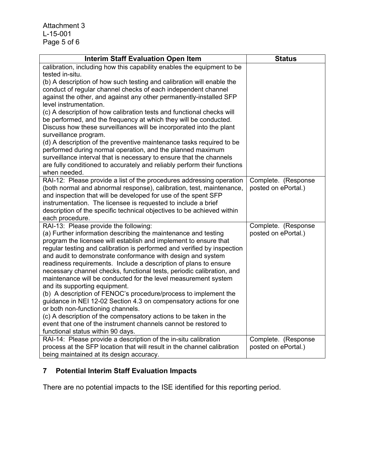| <b>Interim Staff Evaluation Open Item</b>                                                                                                   | <b>Status</b>       |
|---------------------------------------------------------------------------------------------------------------------------------------------|---------------------|
| calibration, including how this capability enables the equipment to be                                                                      |                     |
| tested in-situ.                                                                                                                             |                     |
| (b) A description of how such testing and calibration will enable the                                                                       |                     |
| conduct of regular channel checks of each independent channel                                                                               |                     |
| against the other, and against any other permanently-installed SFP                                                                          |                     |
| level instrumentation.<br>(c) A description of how calibration tests and functional checks will                                             |                     |
| be performed, and the frequency at which they will be conducted.                                                                            |                     |
| Discuss how these surveillances will be incorporated into the plant                                                                         |                     |
| surveillance program.                                                                                                                       |                     |
| (d) A description of the preventive maintenance tasks required to be                                                                        |                     |
| performed during normal operation, and the planned maximum                                                                                  |                     |
| surveillance interval that is necessary to ensure that the channels                                                                         |                     |
| are fully conditioned to accurately and reliably perform their functions                                                                    |                     |
| when needed.                                                                                                                                |                     |
| RAI-12: Please provide a list of the procedures addressing operation                                                                        | Complete. (Response |
| (both normal and abnormal response), calibration, test, maintenance,                                                                        | posted on ePortal.) |
| and inspection that will be developed for use of the spent SFP                                                                              |                     |
| instrumentation. The licensee is requested to include a brief                                                                               |                     |
| description of the specific technical objectives to be achieved within                                                                      |                     |
| each procedure.                                                                                                                             |                     |
| RAI-13: Please provide the following:                                                                                                       | Complete. (Response |
| (a) Further information describing the maintenance and testing                                                                              | posted on ePortal.) |
| program the licensee will establish and implement to ensure that<br>regular testing and calibration is performed and verified by inspection |                     |
| and audit to demonstrate conformance with design and system                                                                                 |                     |
| readiness requirements. Include a description of plans to ensure                                                                            |                     |
| necessary channel checks, functional tests, periodic calibration, and                                                                       |                     |
| maintenance will be conducted for the level measurement system                                                                              |                     |
| and its supporting equipment.                                                                                                               |                     |
| (b) A description of FENOC's procedure/process to implement the                                                                             |                     |
| guidance in NEI 12-02 Section 4.3 on compensatory actions for one                                                                           |                     |
| or both non-functioning channels.                                                                                                           |                     |
| (c) A description of the compensatory actions to be taken in the                                                                            |                     |
| event that one of the instrument channels cannot be restored to                                                                             |                     |
| functional status within 90 days.                                                                                                           |                     |
| RAI-14: Please provide a description of the in-situ calibration                                                                             | Complete. (Response |
| process at the SFP location that will result in the channel calibration                                                                     | posted on ePortal.) |
| being maintained at its design accuracy.                                                                                                    |                     |

# **7 Potential Interim Staff Evaluation Impacts**

There are no potential impacts to the ISE identified for this reporting period.